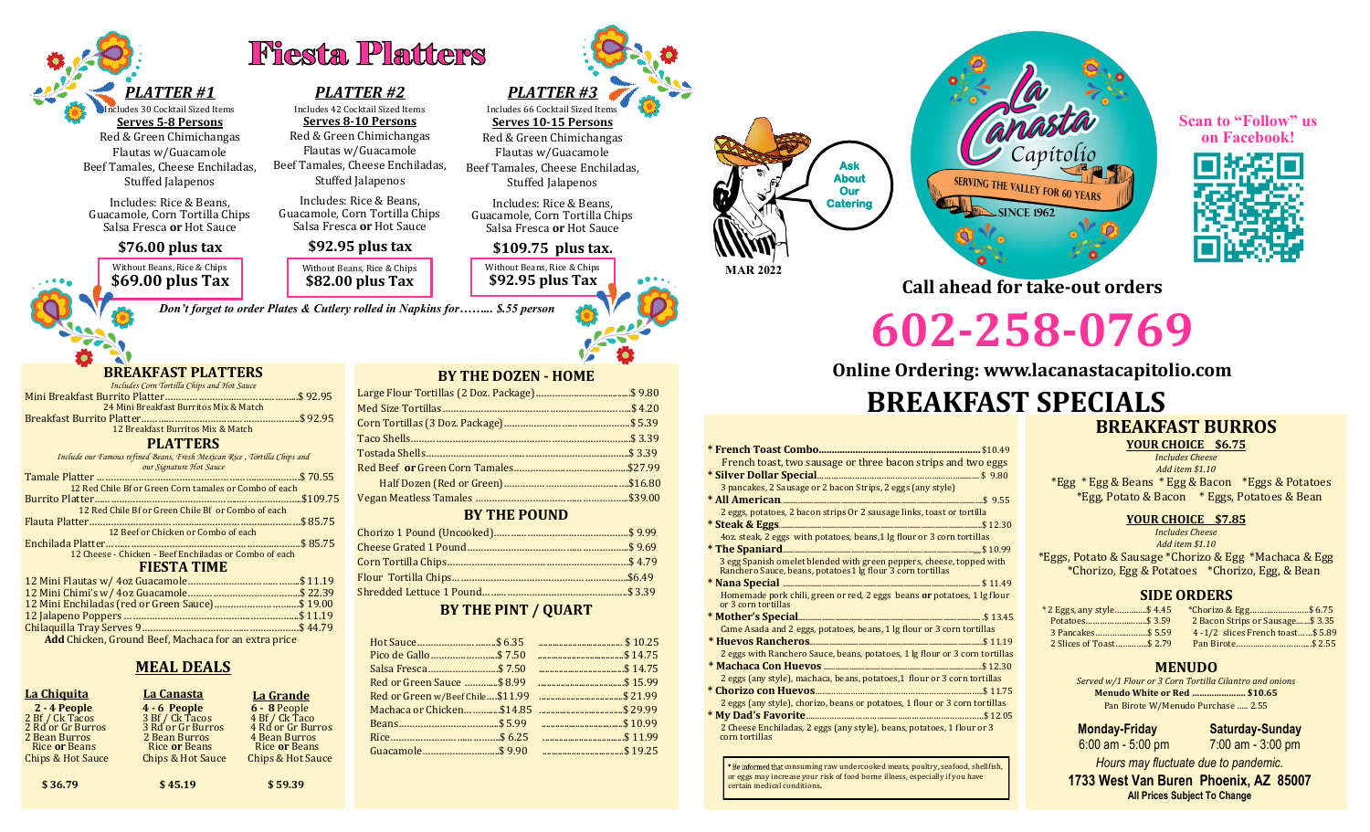

udes 30 Cocktail Sized Items **Serves 5-8 Persons** Red & Green Chimichangas Flautas w/Guacamole Beef Tamales, Cheese Enchiladas,

Stuffed Jalapenos

Includes: Rice & Beans, Guacamole, Corn Tortilla Chips Salsa Fresca **or** Hot Sauce

## **\$76.00 plus tax**

Without Beans, Rice & Chips **\$69.00 plus Tax** Without Beans, Rice & Chips **\$82.00 plus Tax**

*Don't forget to order Plates & Cutlery rolled in Napkins for……... \$.55 person*

# **BREAKFAST PLATTERS**

- *Includes Corn Tortilla Chips and Hot Sauce*  Mini Breakfast Burrito Platter…………………….…………………...\$ 92.95 24 Mini Breakfast Burritos Mix & Match Breakfast Burrito Platter………………………….……………………...\$ 92.95 12 Breakfast Burritos Mix & Match **PLATTERS** *Include our Famous refined Beans, Fresh Mexican Rice , Tortilla Chips and our Signature Hot Sauce* Tamale Platter .... 12 Red Chile Bf or Green Corn tamales or Combo of each
- Burrito Platter……………………………………………..…………………..\$109.75 12 Red Chile Bf or Green Chile Bf or Combo of each Flauta Platter………………………………….…………………….…………\$ 85.75 12 Beef or Chicken or Combo of each Enchilada Platter…………………………………………………….……….\$ 85.75 12 Cheese - Chicken - Beef Enchiladas or Combo of each

#### **FIESTA TIME**

| 12 Mini Enchiladas (red or Green Sauce) \$19.00             |
|-------------------------------------------------------------|
|                                                             |
|                                                             |
| <b>Add</b> Chicken, Ground Beef, Machaca for an extra price |

## **MEAL DEALS**

| <u>La Chiquita</u>                                                                                                     | <b>La Canasta</b>                                                                                                             | La Grande                                                                                                                      |
|------------------------------------------------------------------------------------------------------------------------|-------------------------------------------------------------------------------------------------------------------------------|--------------------------------------------------------------------------------------------------------------------------------|
| 2 - 4 People<br>2 Bf / Ck Tacos<br>2 Rd or Gr Burros<br>2 Bean Burros<br>Rice or Beans<br><b>Chips &amp; Hot Sauce</b> | <b>4 - 6 People</b><br>3 Bf / Ck Tacos<br>3 Rd or Gr Burros<br>2 Bean Burros<br>Rice or Beans<br><b>Chips &amp; Hot Sauce</b> | $6 - 8$ People<br>4 Bf / Ck Taco<br>4 Rd or Gr Burros<br>4 Bean Burros<br><b>Rice or Beans</b><br><b>Chips &amp; Hot Sauce</b> |
|                                                                                                                        |                                                                                                                               |                                                                                                                                |

**\$36.79** \$45.19 \$59.39

# *PLATTER #2* Includes 42 Cocktail Sized Items

**Serves 8-10 Persons** Red & Green Chimichangas Flautas w/Guacamole Beef Tamales, Cheese Enchiladas, Stuffed Jalapenos

**Fiesta Platters** 

Includes: Rice & Beans, Guacamole, Corn Tortilla Chips Salsa Fresca **or** Hot Sauce

# **\$92.95 plus tax**





Includes: Rice & Beans, Guacamole, Corn Tortilla Chips Salsa Fresca **or** Hot Sauce

## **\$109.75 plus tax.**

Without Beans, Rice & Chips **\$92.95 plus Tax**



SERVING THE VALLEY FOR 60 YEARS **SINCE 1962** 

**Scan to "Follow" us on Facebook!**



**Call ahead for take-out orders**

**602-258-0769**

# **Online Ordering: www.lacanastacapitolio.com**

# **BREAKFAST SPECIALS**

#### **\* French Toast Combo..............................................................** \$10.49 French toast, two sausage or three bacon strips and two eggs **\* Silver Dollar Special**…………………………………………………….......... \$ 9.80 3 pancakes, 2 Sausage or 2 bacon Strips, 2 eggs (any style) **\* All American**........................................................................................................\$ 9.55 2 eggs, potatoes, 2 bacon strips Or 2 sausage links, toast or tortilla **\* Steak & Eggs**........................................................................................................\$ 12.30 4oz. steak, 2 eggs with potatoes, beans,1 lg flour or 3 corn tortillas **\* The Spaniard**..................................................................................................,,,,\$ 10.99 3 egg Spanish omelet blended with green peppers, cheese, topped with Ranchero Sauce, beans, potatoes1 lg flour 3 corn tortillas **\* Nana Special** ..................................................................................................... \$ 11.49 Homemade pork chili, green or red, 2 eggs beans **or** potatoes, 1 lg flour or 3 corn tortillas **\* Mother's Special**............................................................................................. .\$ 13.45 Came Asada and 2 eggs, potatoes, beans, 1 lg flour or 3 corn tortillas **\* Huevos Rancheros**.........................................................................................\$ 11.19 2 eggs with Ranchero Sauce, beans, potatoes, 1 lg flour or 3 corn tortillas **\* Machaca Con Huevos** .................................................................................\$ 12.30 2 eggs (any style), machaca, beans, potatoes,1 flour or 3 corn tortillas **\* Chorizo con Huevos**……………………………………………………………..\$ 11.75 2 eggs (any style), chorizo, beans or potatoes, 1 flour or 3 corn tortillas **\* My Dad's Favorite**…………………………….......………………………………\$ 12.05 2 Cheese Enchiladas, 2 eggs (any style), beans, potatoes, 1 flour or 3 corn tortillas

Be informed that consuming raw undercooked meats, poultry, seafood, shellfish, or eggs may increase your risk of food borne illness, especially if you have certain medical conditions**.**

## **BREAKFAST BURROS YOUR CHOICE \$6.75** *Includes Cheese*

*Add item \$1.10* \*Egg \* Egg & Beans \* Egg & Bacon \*Eggs & Potatoes \*Egg, Potato & Bacon \* Eggs, Potatoes & Bean

## **YOUR CHOICE \$7.85**

*Includes Cheese Add item \$1.10* \*Eggs, Potato & Sausage \*Chorizo & Egg \*Machaca & Egg \*Chorizo, Egg & Potatoes \*Chorizo, Egg, & Bean

## **SIDE ORDERS**

| * 2 Eggs, any style\$ 4.45 | *Chorizo & Egg\$ 6.75             |
|----------------------------|-----------------------------------|
|                            | 2 Bacon Strips or Sausage\$ 3.35  |
|                            | 4 -1/2 slices French toast\$ 5.89 |
| 2 Slices of Toast\$ 2.79   |                                   |

## **MENUDO**

*Served w/1 Flour or 3 Corn Tortilla Cilantro and onions* **Menudo White or Red …………………. \$10.65** Pan Birote W/Menudo Purchase ….. 2.55

| Monday-Friday     | <b>Saturday-Sunday</b> |
|-------------------|------------------------|
| 6:00 am - 5:00 pm | $7:00$ am - 3:00 pm    |

*Hours may fluctuate due to pandemic.*

**1733 West Van Buren Phoenix, AZ 85007 All Prices Subject To Change**

## **BY THE DOZEN - HOME**

## **BY THE POUND**

## **BY THE PINT / QUART**

|                                  | <b>EXAMPLE 10.25</b> |
|----------------------------------|----------------------|
|                                  |                      |
| Salsa Fresca\$ 7.50              |                      |
| Red or Green Sauce  \$8.99       |                      |
| Red or Green w/Beef Chile\$11.99 | 3 21.99              |
|                                  |                      |
|                                  |                      |
|                                  | 11.99                |
|                                  |                      |
|                                  |                      |